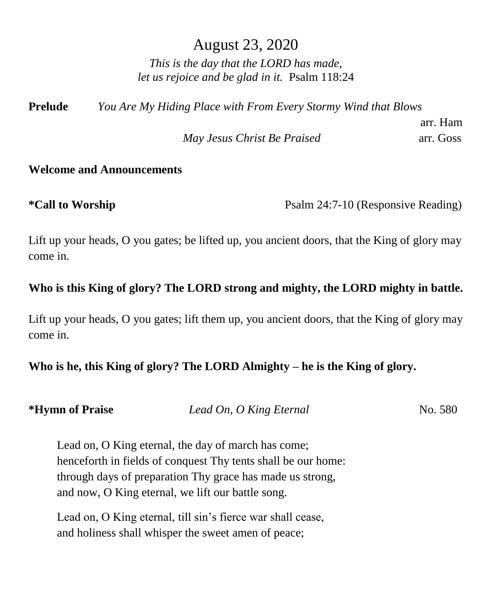## August 23, 2020

*This is the day that the LORD has made, let us rejoice and be glad in it.* Psalm 118:24

**Prelude** *You Are My Hiding Place with From Every Stormy Wind that Blows* 

*May Jesus Christ Be Praised* arr. Goss

# arr. Ham

## **Welcome and Announcements**

**\*Call to Worship** Psalm 24:7-10 (Responsive Reading)

Lift up your heads, O you gates; be lifted up, you ancient doors, that the King of glory may come in.

## **Who is this King of glory? The LORD strong and mighty, the LORD mighty in battle.**

Lift up your heads, O you gates; lift them up, you ancient doors, that the King of glory may come in.

## **Who is he, this King of glory? The LORD Almighty – he is the King of glory.**

| <i><b>*Hymn of Praise</b></i> | Lead On, O King Eternal | No. 580 |
|-------------------------------|-------------------------|---------|
|-------------------------------|-------------------------|---------|

Lead on, O King eternal, the day of march has come; henceforth in fields of conquest Thy tents shall be our home: through days of preparation Thy grace has made us strong, and now, O King eternal, we lift our battle song.

Lead on, O King eternal, till sin's fierce war shall cease, and holiness shall whisper the sweet amen of peace;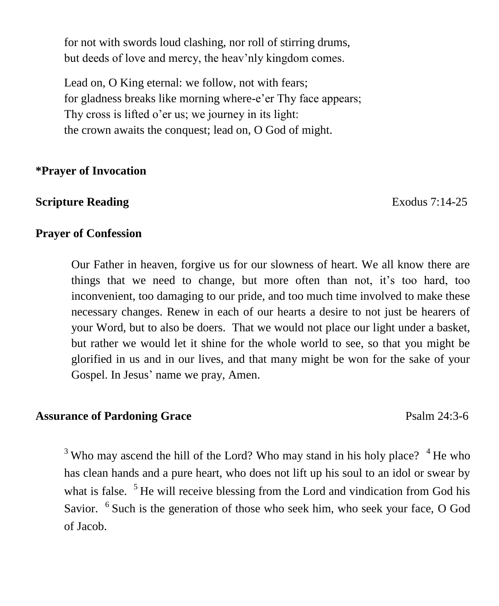for not with swords loud clashing, nor roll of stirring drums, but deeds of love and mercy, the heav'nly kingdom comes.

Lead on, O King eternal: we follow, not with fears; for gladness breaks like morning where-e'er Thy face appears; Thy cross is lifted o'er us; we journey in its light: the crown awaits the conquest; lead on, O God of might.

#### **\*Prayer of Invocation**

## **Scripture Reading Exodus 7:14-25**

### **Prayer of Confession**

Our Father in heaven, forgive us for our slowness of heart. We all know there are things that we need to change, but more often than not, it's too hard, too inconvenient, too damaging to our pride, and too much time involved to make these necessary changes. Renew in each of our hearts a desire to not just be hearers of your Word, but to also be doers. That we would not place our light under a basket, but rather we would let it shine for the whole world to see, so that you might be glorified in us and in our lives, and that many might be won for the sake of your Gospel. In Jesus' name we pray, Amen.

### Assurance of Pardoning Grace **Particle 12:3-6** Psalm 24:3-6

<sup>3</sup> Who may ascend the hill of the Lord? Who may stand in his holy place?  $4$  He who has clean hands and a pure heart, who does not lift up his soul to an idol or swear by what is false. <sup>5</sup>He will receive blessing from the Lord and vindication from God his Savior. <sup>6</sup> Such is the generation of those who seek him, who seek your face, O God of Jacob.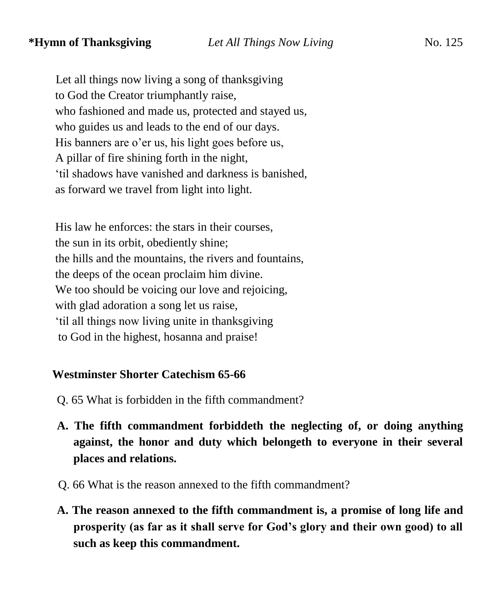Let all things now living a song of thanksgiving to God the Creator triumphantly raise, who fashioned and made us, protected and stayed us, who guides us and leads to the end of our days. His banners are o'er us, his light goes before us, A pillar of fire shining forth in the night, 'til shadows have vanished and darkness is banished, as forward we travel from light into light.

 His law he enforces: the stars in their courses, the sun in its orbit, obediently shine; the hills and the mountains, the rivers and fountains, the deeps of the ocean proclaim him divine. We too should be voicing our love and rejoicing, with glad adoration a song let us raise, 'til all things now living unite in thanksgiving to God in the highest, hosanna and praise!

#### **Westminster Shorter Catechism 65-66**

- Q. 65 What is forbidden in the fifth commandment?
- **A. The fifth commandment forbiddeth the neglecting of, or doing anything against, the honor and duty which belongeth to everyone in their several places and relations.**
- Q. 66 What is the reason annexed to the fifth commandment?
- **A. The reason annexed to the fifth commandment is, a promise of long life and prosperity (as far as it shall serve for God's glory and their own good) to all such as keep this commandment.**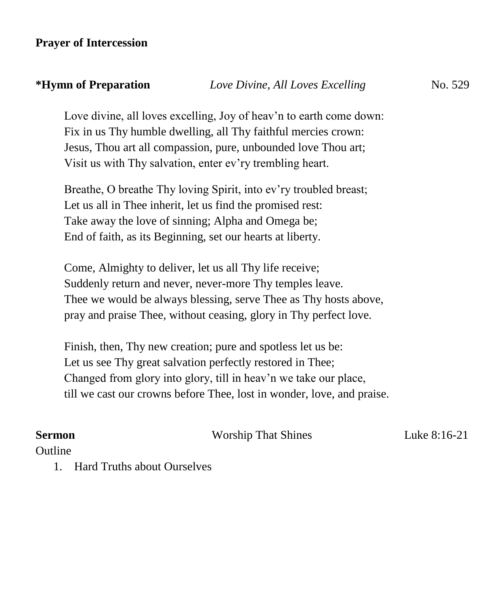## **Prayer of Intercession**

## **\*Hymn of Preparation** *Love Divine, All Loves Excelling*No. 529

Love divine, all loves excelling, Joy of heav'n to earth come down: Fix in us Thy humble dwelling, all Thy faithful mercies crown: Jesus, Thou art all compassion, pure, unbounded love Thou art; Visit us with Thy salvation, enter ev'ry trembling heart.

Breathe, O breathe Thy loving Spirit, into ev'ry troubled breast; Let us all in Thee inherit, let us find the promised rest: Take away the love of sinning; Alpha and Omega be; End of faith, as its Beginning, set our hearts at liberty.

Come, Almighty to deliver, let us all Thy life receive; Suddenly return and never, never-more Thy temples leave. Thee we would be always blessing, serve Thee as Thy hosts above, pray and praise Thee, without ceasing, glory in Thy perfect love.

Finish, then, Thy new creation; pure and spotless let us be: Let us see Thy great salvation perfectly restored in Thee; Changed from glory into glory, till in heav'n we take our place, till we cast our crowns before Thee, lost in wonder, love, and praise.

## **Sermon Worship That Shines** Luke 8:16-21 **Outline**

1. Hard Truths about Ourselves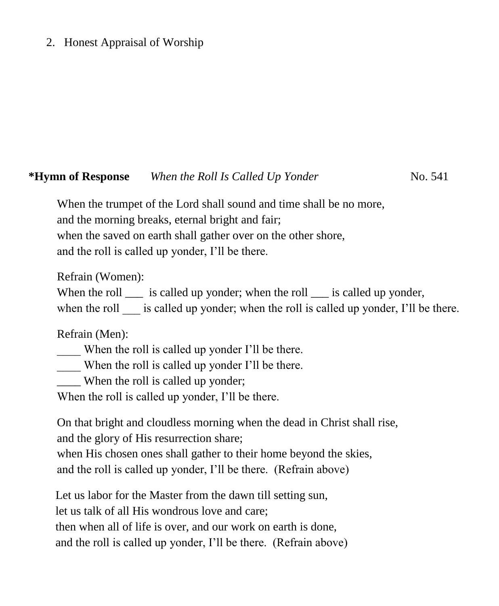## 2. Honest Appraisal of Worship

## **\*Hymn of Response** *When the Roll Is Called Up Yonder*No. 541

When the trumpet of the Lord shall sound and time shall be no more, and the morning breaks, eternal bright and fair; when the saved on earth shall gather over on the other shore, and the roll is called up yonder, I'll be there.

Refrain (Women):

When the roll  $\Box$  is called up yonder; when the roll  $\Box$  is called up yonder,

when the roll is called up yonder; when the roll is called up yonder, I'll be there.

Refrain (Men):

When the roll is called up yonder I'll be there.

\_\_\_\_ When the roll is called up yonder I'll be there.

When the roll is called up yonder;

When the roll is called up yonder, I'll be there.

On that bright and cloudless morning when the dead in Christ shall rise, and the glory of His resurrection share;

when His chosen ones shall gather to their home beyond the skies, and the roll is called up yonder, I'll be there. (Refrain above)

Let us labor for the Master from the dawn till setting sun, let us talk of all His wondrous love and care; then when all of life is over, and our work on earth is done, and the roll is called up yonder, I'll be there. (Refrain above)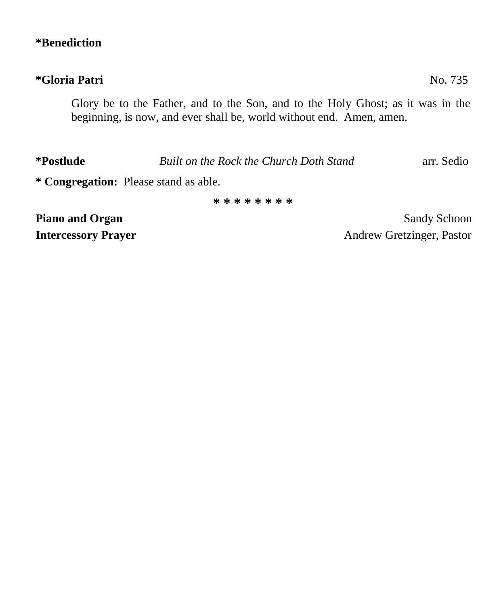## **\*Benediction**

## **\*Gloria Patri** No. 735

Glory be to the Father, and to the Son, and to the Holy Ghost; as it was in the beginning, is now, and ever shall be, world without end. Amen, amen.

**\*Postlude** *Built on the Rock the Church Doth Stand* arr. Sedio

**\* Congregation:** Please stand as able.

**\* \* \* \* \* \* \* \***

**Piano and Organ** Sandy Schoon **Sandy Schoon Intercessory Prayer** Andrew Gretzinger, Pastor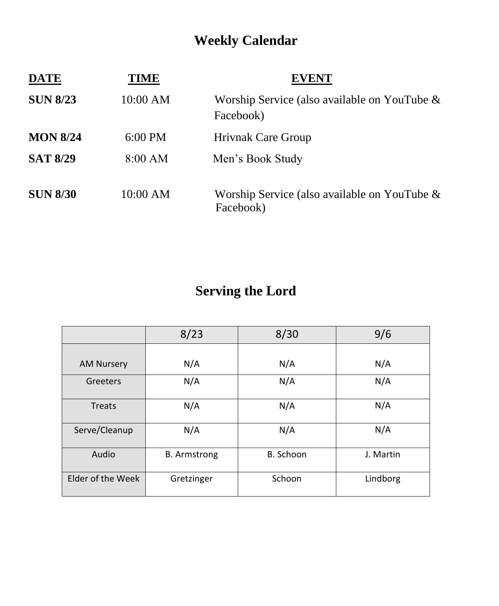## **Weekly Calendar**

| <b>DATE</b>     | TIME      | <b>EVENT</b>                                                 |
|-----------------|-----------|--------------------------------------------------------------|
| <b>SUN 8/23</b> | 10:00 AM  | Worship Service (also available on YouTube $\&$<br>Facebook) |
| <b>MON 8/24</b> | $6:00$ PM | <b>Hrivnak Care Group</b>                                    |
| <b>SAT 8/29</b> | 8:00 AM   | Men's Book Study                                             |
| <b>SUN 8/30</b> | 10:00 AM  | Worship Service (also available on YouTube $\&$<br>Facebook) |

## **Serving the Lord**

|                   | 8/23                | 8/30      | 9/6       |
|-------------------|---------------------|-----------|-----------|
|                   |                     |           |           |
| <b>AM Nursery</b> | N/A                 | N/A       | N/A       |
| Greeters          | N/A                 | N/A       | N/A       |
| <b>Treats</b>     | N/A                 | N/A       | N/A       |
| Serve/Cleanup     | N/A                 | N/A       | N/A       |
| Audio             | <b>B.</b> Armstrong | B. Schoon | J. Martin |
| Elder of the Week | Gretzinger          | Schoon    | Lindborg  |